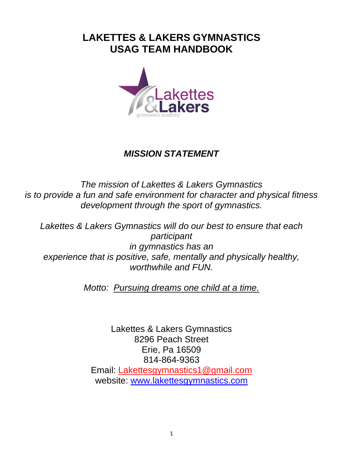# **LAKETTES & LAKERS GYMNASTICS USAG TEAM HANDBOOK**



# *MISSION STATEMENT*

*The mission of Lakettes & Lakers Gymnastics is to provide a fun and safe environment for character and physical fitness development through the sport of gymnastics.*

*Lakettes & Lakers Gymnastics will do our best to ensure that each participant in gymnastics has an experience that is positive, safe, mentally and physically healthy, worthwhile and FUN.*

*Motto: Pursuing dreams one child at a time.*

Lakettes & Lakers Gymnastics 8296 Peach Street Erie, Pa 16509 814-864-9363 Email: Lakettesgymnastics1@gmail.com website: [www.lakettesgymnastics.com](http://www.lakettesgymnastics.com/)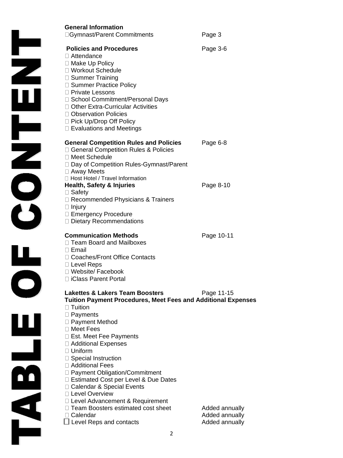|     | <b>General Information</b><br>□ Gymnast/Parent Commitments                                                                                                                                                                                                                                                                                | Page 3                                             |
|-----|-------------------------------------------------------------------------------------------------------------------------------------------------------------------------------------------------------------------------------------------------------------------------------------------------------------------------------------------|----------------------------------------------------|
|     | <b>Policies and Procedures</b><br>$\Box$ Attendance<br>□ Make Up Policy<br>□ Workout Schedule<br>□ Summer Training<br>□ Summer Practice Policy<br>□ Private Lessons<br>□ School Commitment/Personal Days<br>□ Other Extra-Curricular Activities<br>□ Observation Policies<br>□ Pick Up/Drop Off Policy<br>$\Box$ Evaluations and Meetings | Page 3-6                                           |
|     | <b>General Competition Rules and Policies</b><br>□ General Competition Rules & Policies<br>□ Meet Schedule<br>□ Day of Competition Rules-Gymnast/Parent<br>$\Box$ Away Meets                                                                                                                                                              | Page 6-8                                           |
|     | □ Host Hotel / Travel Information<br><b>Health, Safety &amp; Injuries</b><br>$\Box$ Safety<br>$\Box$ Recommended Physicians & Trainers<br>$\Box$ Injury<br>□ Emergency Procedure<br>□ Dietary Recommendations                                                                                                                             | Page 8-10                                          |
|     | <b>Communication Methods</b><br>□ Team Board and Mailboxes<br>$\Box$ Email<br>Coaches/Front Office Contacts<br>$\Box$ Level Reps<br>□ Website/ Facebook<br>□ iClass Parent Portal                                                                                                                                                         | Page 10-11                                         |
|     | <b>Lakettes &amp; Lakers Team Boosters</b><br><b>Tuition Payment Procedures, Meet Fees and Additional Expenses</b><br>$\Box$ Tuition                                                                                                                                                                                                      | Page 11-15                                         |
|     | $\Box$ Payments<br>□ Payment Method<br>□ Meet Fees<br>□ Est. Meet Fee Payments<br>□ Additional Expenses<br>$\Box$ Uniform                                                                                                                                                                                                                 |                                                    |
| n'n | □ Special Instruction<br>□ Additional Fees<br>□ Payment Obligation/Commitment<br>□ Estimated Cost per Level & Due Dates<br>□ Calendar & Special Events<br>□ Level Overview                                                                                                                                                                |                                                    |
|     | $\Box$ Level Advancement & Requirement<br>Team Boosters estimated cost sheet<br>□ Calendar<br>$\Box$ Level Reps and contacts                                                                                                                                                                                                              | Added annually<br>Added annually<br>Added annually |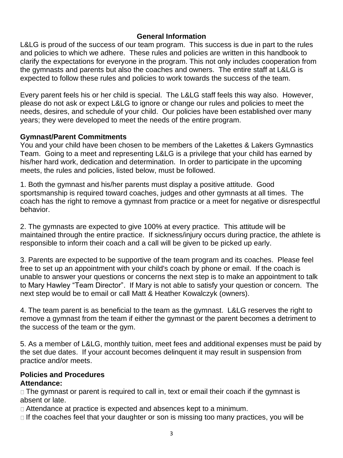### **General Information**

L&LG is proud of the success of our team program. This success is due in part to the rules and policies to which we adhere. These rules and policies are written in this handbook to clarify the expectations for everyone in the program. This not only includes cooperation from the gymnasts and parents but also the coaches and owners. The entire staff at L&LG is expected to follow these rules and policies to work towards the success of the team.

Every parent feels his or her child is special. The L&LG staff feels this way also. However, please do not ask or expect L&LG to ignore or change our rules and policies to meet the needs, desires, and schedule of your child. Our policies have been established over many years; they were developed to meet the needs of the entire program.

#### **Gymnast/Parent Commitments**

You and your child have been chosen to be members of the Lakettes & Lakers Gymnastics Team. Going to a meet and representing L&LG is a privilege that your child has earned by his/her hard work, dedication and determination. In order to participate in the upcoming meets, the rules and policies, listed below, must be followed.

1. Both the gymnast and his/her parents must display a positive attitude. Good sportsmanship is required toward coaches, judges and other gymnasts at all times. The coach has the right to remove a gymnast from practice or a meet for negative or disrespectful behavior.

2. The gymnasts are expected to give 100% at every practice. This attitude will be maintained through the entire practice. If sickness/injury occurs during practice, the athlete is responsible to inform their coach and a call will be given to be picked up early.

3. Parents are expected to be supportive of the team program and its coaches. Please feel free to set up an appointment with your child's coach by phone or email. If the coach is unable to answer your questions or concerns the next step is to make an appointment to talk to Mary Hawley "Team Director". If Mary is not able to satisfy your question or concern. The next step would be to email or call Matt & Heather Kowalczyk (owners).

4. The team parent is as beneficial to the team as the gymnast. L&LG reserves the right to remove a gymnast from the team if either the gymnast or the parent becomes a detriment to the success of the team or the gym.

5. As a member of L&LG, monthly tuition, meet fees and additional expenses must be paid by the set due dates. If your account becomes delinquent it may result in suspension from practice and/or meets.

#### **Policies and Procedures Attendance:**

 $\Box$  The gymnast or parent is required to call in, text or email their coach if the gymnast is absent or late.

Attendance at practice is expected and absences kept to a minimum.

 $\Box$  If the coaches feel that your daughter or son is missing too many practices, you will be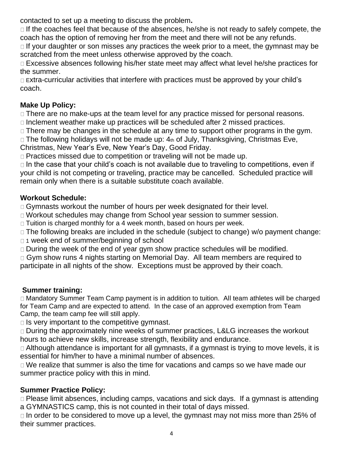contacted to set up a meeting to discuss the problem**.** 

 $\Box$  If the coaches feel that because of the absences, he/she is not ready to safely compete, the coach has the option of removing her from the meet and there will not be any refunds.

 $\Box$  If your daughter or son misses any practices the week prior to a meet, the gymnast may be scratched from the meet unless otherwise approved by the coach.

Excessive absences following his/her state meet may affect what level he/she practices for the summer.

□ Extra-curricular activities that interfere with practices must be approved by your child's coach.

# **Make Up Policy:**

□ There are no make-ups at the team level for any practice missed for personal reasons.

 $\Box$  Inclement weather make up practices will be scheduled after 2 missed practices.

□ There may be changes in the schedule at any time to support other programs in the gym.

 $\Box$  The following holidays will not be made up:  $4<sub>th</sub>$  of July, Thanksgiving, Christmas Eve,

Christmas, New Year's Eve, New Year's Day, Good Friday.

□ Practices missed due to competition or traveling will not be made up.

 $\Box$  In the case that your child's coach is not available due to traveling to competitions, even if your child is not competing or traveling, practice may be cancelled. Scheduled practice will remain only when there is a suitable substitute coach available.

# **Workout Schedule:**

□ Gymnasts workout the number of hours per week designated for their level.

Workout schedules may change from School year session to summer session.

□ Tuition is charged monthly for a 4 week month, based on hours per week.

□ The following breaks are included in the schedule (subject to change) w/o payment change:

□ 1 week end of summer/beginning of school

 $\Box$  During the week of the end of year gym show practice schedules will be modified.

□ Gym show runs 4 nights starting on Memorial Day. All team members are required to participate in all nights of the show. Exceptions must be approved by their coach.

### **Summer training:**

Mandatory Summer Team Camp payment is in addition to tuition. All team athletes will be charged for Team Camp and are expected to attend. In the case of an approved exemption from Team Camp, the team camp fee will still apply.

 $\Box$  Is very important to the competitive gymnast.

□ During the approximately nine weeks of summer practices, L&LG increases the workout hours to achieve new skills, increase strength, flexibility and endurance.

□ Although attendance is important for all gymnasts, if a gymnast is trying to move levels, it is essential for him/her to have a minimal number of absences.

We realize that summer is also the time for vacations and camps so we have made our summer practice policy with this in mind.

# **Summer Practice Policy:**

□ Please limit absences, including camps, vacations and sick days. If a gymnast is attending a GYMNASTICS camp, this is not counted in their total of days missed.

 $\Box$  In order to be considered to move up a level, the gymnast may not miss more than 25% of their summer practices.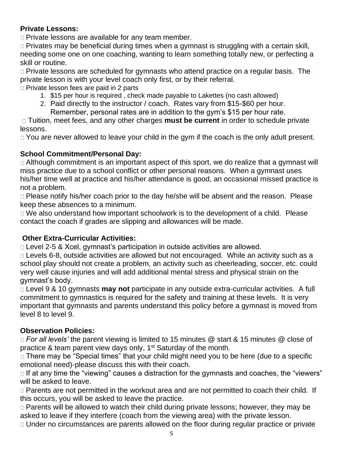### **Private Lessons:**

Private lessons are available for any team member.

□ Privates may be beneficial during times when a gymnast is struggling with a certain skill, needing some one on one coaching, wanting to learn something totally new, or perfecting a skill or routine.

□ Private lessons are scheduled for gymnasts who attend practice on a regular basis. The private lesson is with your level coach only first, or by their referral.

□ Private lesson fees are paid in 2 parts

- 1. \$15 per hour is required , check made payable to Lakettes (no cash allowed)
- 2. Paid directly to the instructor / coach. Rates vary from \$15-\$60 per hour. Remember, personal rates are in addition to the gym's \$15 per hour rate.

Tuition, meet fees, and any other charges **must be current** in order to schedule private lessons.

□ You are never allowed to leave your child in the gym if the coach is the only adult present.

### **School Commitment/Personal Day:**

□ Although commitment is an important aspect of this sport, we do realize that a gymnast will miss practice due to a school conflict or other personal reasons. When a gymnast uses his/her time well at practice and his/her attendance is good, an occasional missed practice is not a problem.

□ Please notify his/her coach prior to the day he/she will be absent and the reason. Please keep these absences to a minimum.

□ We also understand how important schoolwork is to the development of a child. Please contact the coach if grades are slipping and allowances will be made.

### **Other Extra-Curricular Activities:**

Level 2-5 & Xcel, gymnast's participation in outside activities are allowed.

□ Levels 6-8, outside activities are allowed but not encouraged. While an activity such as a school play should not create a problem, an activity such as cheerleading, soccer, etc. could very well cause injuries and will add additional mental stress and physical strain on the gymnast's body.

Level 9 & 10 gymnasts **may not** participate in any outside extra-curricular activities. A full commitment to gymnastics is required for the safety and training at these levels. It is very important that gymnasts and parents understand this policy before a gymnast is moved from level 8 to level 9.

### **Observation Policies:**

*For all levels'* the parent viewing is limited to 15 minutes @ start & 15 minutes @ close of practice & team parent view days only, 1<sup>st</sup> Saturday of the month.

□ There may be "Special times" that your child might need you to be here (due to a specific emotional need)-please discuss this with their coach.

 $\Box$  If at any time the "viewing" causes a distraction for the gymnasts and coaches, the "viewers" will be asked to leave.

□ Parents are not permitted in the workout area and are not permitted to coach their child. If this occurs, you will be asked to leave the practice.

□ Parents will be allowed to watch their child during private lessons; however, they may be asked to leave if they interfere (coach from the viewing area) with the private lesson.

Under no circumstances are parents allowed on the floor during regular practice or private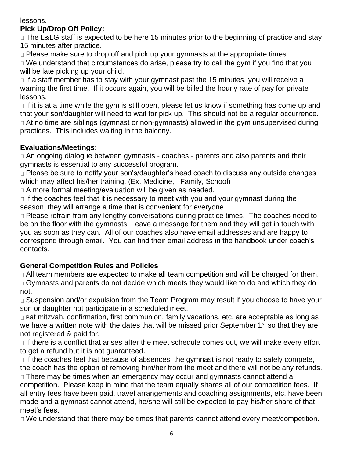#### lessons.

# **Pick Up/Drop Off Policy:**

□ The L&LG staff is expected to be here 15 minutes prior to the beginning of practice and stay 15 minutes after practice.

 $\Box$  Please make sure to drop off and pick up your gymnasts at the appropriate times.

□ We understand that circumstances do arise, please try to call the gym if you find that you will be late picking up your child.

 $\Box$  If a staff member has to stay with your gymnast past the 15 minutes, you will receive a warning the first time. If it occurs again, you will be billed the hourly rate of pay for private lessons.

 $\Box$  If it is at a time while the gym is still open, please let us know if something has come up and that your son/daughter will need to wait for pick up. This should not be a regular occurrence. At no time are siblings (gymnast or non-gymnasts) allowed in the gym unsupervised during practices. This includes waiting in the balcony.

# **Evaluations/Meetings:**

An ongoing dialogue between gymnasts - coaches - parents and also parents and their gymnasts is essential to any successful program.

□ Please be sure to notify your son's/daughter's head coach to discuss any outside changes which may affect his/her training. (Ex. Medicine, Family, School)

A more formal meeting/evaluation will be given as needed.

 $\Box$  If the coaches feel that it is necessary to meet with you and your gymnast during the season, they will arrange a time that is convenient for everyone.

□ Please refrain from any lengthy conversations during practice times. The coaches need to be on the floor with the gymnasts. Leave a message for them and they will get in touch with you as soon as they can. All of our coaches also have email addresses and are happy to correspond through email. You can find their email address in the handbook under coach's contacts.

### **General Competition Rules and Policies**

 $\Box$  All team members are expected to make all team competition and will be charged for them. □ Gymnasts and parents do not decide which meets they would like to do and which they do not.

□ Suspension and/or expulsion from the Team Program may result if you choose to have your son or daughter not participate in a scheduled meet.

 $\Box$  Bat mitzvah, confirmation, first communion, family vacations, etc. are acceptable as long as we have a written note with the dates that will be missed prior September 1<sup>st</sup> so that they are not registered & paid for.

 $\Box$  If there is a conflict that arises after the meet schedule comes out, we will make every effort to get a refund but it is not guaranteed.

 $\Box$  If the coaches feel that because of absences, the gymnast is not ready to safely compete, the coach has the option of removing him/her from the meet and there will not be any refunds.

□ There may be times when an emergency may occur and gymnasts cannot attend a competition. Please keep in mind that the team equally shares all of our competition fees. If all entry fees have been paid, travel arrangements and coaching assignments, etc. have been made and a gymnast cannot attend, he/she will still be expected to pay his/her share of that meet's fees.

□ We understand that there may be times that parents cannot attend every meet/competition.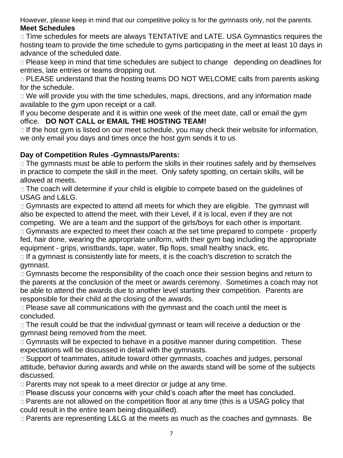However, please keep in mind that our competitive policy is for the gymnasts only, not the parents. **Meet Schedules** 

□ Time schedules for meets are always TENTATIVE and LATE. USA Gymnastics requires the hosting team to provide the time schedule to gyms participating in the meet at least 10 days in advance of the scheduled date.

□ Please keep in mind that time schedules are subject to change depending on deadlines for entries, late entries or teams dropping out.

□ PLEASE understand that the hosting teams DO NOT WELCOME calls from parents asking for the schedule.

□ We will provide you with the time schedules, maps, directions, and any information made available to the gym upon receipt or a call.

If you become desperate and it is within one week of the meet date, call or email the gym office. **DO NOT CALL or EMAIL THE HOSTING TEAM!**

 $\Box$  If the host gym is listed on our meet schedule, you may check their website for information, we only email you days and times once the host gym sends it to us.

# **Day of Competition Rules -Gymnasts/Parents:**

□ The gymnasts must be able to perform the skills in their routines safely and by themselves in practice to compete the skill in the meet. Only safety spotting, on certain skills, will be allowed at meets.

□ The coach will determine if your child is eligible to compete based on the quidelines of USAG and L&LG.

□ Gymnasts are expected to attend all meets for which they are eligible. The gymnast will also be expected to attend the meet, with their Level, if it is local, even if they are not competing. We are a team and the support of the girls/boys for each other is important.

□ Gymnasts are expected to meet their coach at the set time prepared to compete - properly fed, hair done, wearing the appropriate uniform, with their gym bag including the appropriate equipment - grips, wristbands, tape, water, flip flops, small healthy snack, etc.

 $\Box$  If a gymnast is consistently late for meets, it is the coach's discretion to scratch the gymnast.

□ Gymnasts become the responsibility of the coach once their session begins and return to the parents at the conclusion of the meet or awards ceremony. Sometimes a coach may not be able to attend the awards due to another level starting their competition. Parents are responsible for their child at the closing of the awards.

Please save all communications with the gymnast and the coach until the meet is concluded.

□ The result could be that the individual gymnast or team will receive a deduction or the gymnast being removed from the meet.

□ Gymnasts will be expected to behave in a positive manner during competition. These expectations will be discussed in detail with the gymnasts.

□ Support of teammates, attitude toward other gymnasts, coaches and judges, personal attitude, behavior during awards and while on the awards stand will be some of the subjects discussed.

□ Parents may not speak to a meet director or judge at any time.

□ Please discuss your concerns with your child's coach after the meet has concluded.

□ Parents are not allowed on the competition floor at any time (this is a USAG policy that could result in the entire team being disqualified).

□ Parents are representing L&LG at the meets as much as the coaches and gymnasts. Be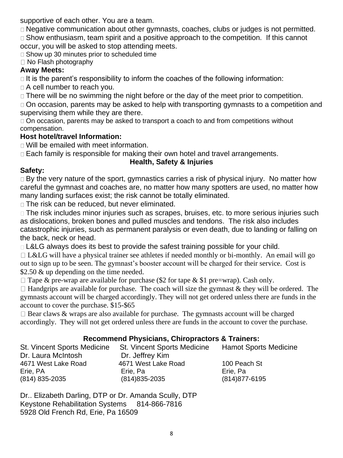supportive of each other. You are a team.

□ Negative communication about other gymnasts, coaches, clubs or judges is not permitted. □ Show enthusiasm, team spirit and a positive approach to the competition. If this cannot occur, you will be asked to stop attending meets.

□ Show up 30 minutes prior to scheduled time

 $\Box$  No Flash photography

#### **Away Meets:**

 $\Box$  It is the parent's responsibility to inform the coaches of the following information:

 $\Box$  A cell number to reach you.

□ There will be no swimming the night before or the day of the meet prior to competition.

□ On occasion, parents may be asked to help with transporting gymnasts to a competition and supervising them while they are there.

□ On occasion, parents may be asked to transport a coach to and from competitions without compensation.

### **Host hotel/travel Information:**

Will be emailed with meet information.

□ Each family is responsible for making their own hotel and travel arrangements.

# **Health, Safety & Injuries**

### **Safety:**

□ By the very nature of the sport, gymnastics carries a risk of physical injury. No matter how careful the gymnast and coaches are, no matter how many spotters are used, no matter how many landing surfaces exist; the risk cannot be totally eliminated.

□ The risk can be reduced, but never eliminated.

□ The risk includes minor injuries such as scrapes, bruises, etc. to more serious injuries such as dislocations, broken bones and pulled muscles and tendons. The risk also includes catastrophic injuries, such as permanent paralysis or even death, due to landing or falling on the back, neck or head.

□ L&LG always does its best to provide the safest training possible for your child.

 $\Box$  L&LG will have a physical trainer see athletes if needed monthly or bi-monthly. An email will go out to sign up to be seen. The gymnast's booster account will be charged for their service. Cost is \$2.50 & up depending on the time needed.

 $\Box$  Tape & pre-wrap are available for purchase (\$2 for tape & \$1 pre=wrap). Cash only.

 $\Box$  Handgrips are available for purchase. The coach will size the gymnast & they will be ordered. The gymnasts account will be charged accordingly. They will not get ordered unless there are funds in the account to cover the purchase. \$15-\$65

 $\Box$  Bear claws & wraps are also available for purchase. The gymnasts account will be charged accordingly. They will not get ordered unless there are funds in the account to cover the purchase.

### **Recommend Physicians, Chiropractors & Trainers:**

| <b>St. Vincent Sports Medicine</b> | <b>Hamot Sports Medicine</b> |
|------------------------------------|------------------------------|
| Dr. Jeffrey Kim                    |                              |
| 4671 West Lake Road                | 100 Peach St                 |
| Erie, Pa                           | Erie, Pa                     |
| $(814)835 - 2035$                  | $(814)877 - 6195$            |
|                                    |                              |

Dr.. Elizabeth Darling, DTP or Dr. Amanda Scully, DTP Keystone Rehabilitation Systems 814-866-7816 5928 Old French Rd, Erie, Pa 16509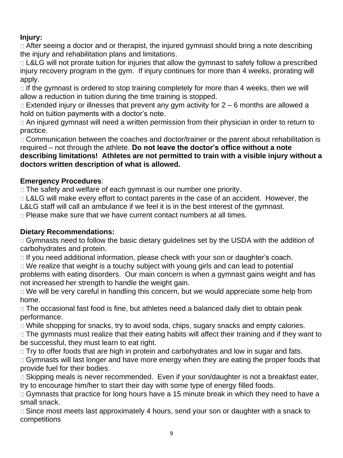# **Injury:**

□ After seeing a doctor and or therapist, the injured gymnast should bring a note describing the injury and rehabilitation plans and limitations.

□ L&LG will not prorate tuition for injuries that allow the gymnast to safely follow a prescribed injury recovery program in the gym. If injury continues for more than 4 weeks, prorating will apply.

 $\Box$  If the gymnast is ordered to stop training completely for more than 4 weeks, then we will allow a reduction in tuition during the time training is stopped.

 $\Box$  Extended injury or illnesses that prevent any gym activity for  $2-6$  months are allowed a hold on tuition payments with a doctor's note.

An injured gymnast will need a written permission from their physician in order to return to practice.

□ Communication between the coaches and doctor/trainer or the parent about rehabilitation is required – not through the athlete. **Do not leave the doctor's office without a note describing limitations! Athletes are not permitted to train with a visible injury without a doctors written description of what is allowed.**

# **Emergency Procedures**:

□ The safety and welfare of each gymnast is our number one priority.

□ L&LG will make every effort to contact parents in the case of an accident. However, the

L&LG staff will call an ambulance if we feel it is in the best interest of the gymnast.

 $\Box$  Please make sure that we have current contact numbers at all times.

# **Dietary Recommendations:**

□ Gymnasts need to follow the basic dietary guidelines set by the USDA with the addition of carbohydrates and protein.

□ If you need additional information, please check with your son or daughter's coach.

□ We realize that weight is a touchy subject with young girls and can lead to potential problems with eating disorders. Our main concern is when a gymnast gains weight and has

not increased her strength to handle the weight gain.

□ We will be very careful in handling this concern, but we would appreciate some help from home.

□ The occasional fast food is fine, but athletes need a balanced daily diet to obtain peak performance.

□ While shopping for snacks, try to avoid soda, chips, sugary snacks and empty calories.

□ The gymnasts must realize that their eating habits will affect their training and if they want to be successful, they must learn to eat right.

□ Try to offer foods that are high in protein and carbohydrates and low in sugar and fats.

□ Gymnasts will last longer and have more energy when they are eating the proper foods that provide fuel for their bodies.

□ Skipping meals is never recommended. Even if your son/daughter is not a breakfast eater, try to encourage him/her to start their day with some type of energy filled foods.

□ Gymnasts that practice for long hours have a 15 minute break in which they need to have a small snack.

 $\Box$  Since most meets last approximately 4 hours, send your son or daughter with a snack to competitions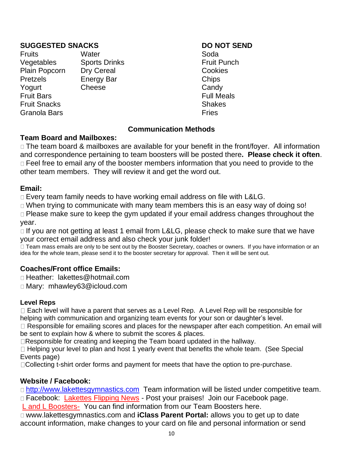#### **SUGGESTED SNACKS DO NOT SEND**

Fruits **Water** Water Soda Vegetables Sports Drinks **Fruit Punch** Plain Popcorn Dry Cereal Cookies Pretzels Energy Bar Chips Yogurt Cheese Candy Fruit Bars Full Meals **Fruit Snacks** Shakes Granola Bars **Fries Granola** Bars **Fries** 

#### **Communication Methods**

#### **Team Board and Mailboxes:**

□ The team board & mailboxes are available for your benefit in the front/foyer. All information and correspondence pertaining to team boosters will be posted there**. Please check it often**. □ Feel free to email any of the booster members information that you need to provide to the other team members. They will review it and get the word out.

#### **Email:**

□ Every team family needs to have working email address on file with L&LG.

When trying to communicate with many team members this is an easy way of doing so! □ Please make sure to keep the gym updated if your email address changes throughout the year.

 $\Box$  If you are not getting at least 1 email from L&LG, please check to make sure that we have your correct email address and also check your junk folder!

Team mass emails are only to be sent out by the Booster Secretary, coaches or owners. If you have information or an idea for the whole team, please send it to the booster secretary for approval. Then it will be sent out.

### **Coaches/Front office Emails:**

□ Heather: lakettes@hotmail.com

Mary: mhawley63@icloud.com

### **Level Reps**

□ Each level will have a parent that serves as a Level Rep. A Level Rep will be responsible for helping with communication and organizing team events for your son or daughter's level.

□ Responsible for emailing scores and places for the newspaper after each competition. An email will be sent to explain how & where to submit the scores & places.

Responsible for creating and keeping the Team board updated in the hallway.

 $\Box$  Helping your level to plan and host 1 yearly event that benefits the whole team. (See Special Events page)

Collecting t-shirt order forms and payment for meets that have the option to pre-purchase.

### **Website / Facebook:**

□ [http://www.lakettesgymnastics.com](http://www.lakettesgymnastics.com/) Team information will be listed under competitive team. □ Facebook: Lakettes Flipping News - Post your praises! Join our Facebook page.

L and L Boosters- You can find information from our Team Boosters here.

www.lakettesgymnastics.com and **iClass Parent Portal:** allows you to get up to date account information, make changes to your card on file and personal information or send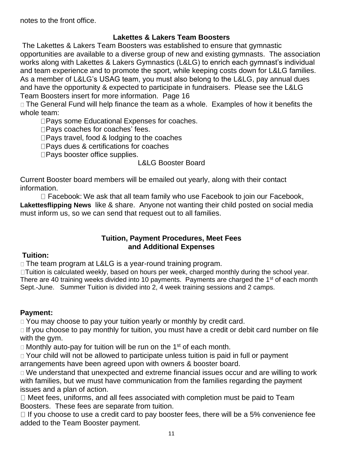notes to the front office.

#### **Lakettes & Lakers Team Boosters**

The Lakettes & Lakers Team Boosters was established to ensure that gymnastic opportunities are available to a diverse group of new and existing gymnasts. The association works along with Lakettes & Lakers Gymnastics (L&LG) to enrich each gymnast's individual and team experience and to promote the sport, while keeping costs down for L&LG families. As a member of L&LG's USAG team, you must also belong to the L&LG, pay annual dues and have the opportunity & expected to participate in fundraisers. Please see the L&LG Team Boosters insert for more information. Page 16

□ The General Fund will help finance the team as a whole. Examples of how it benefits the whole team:

□Pays some Educational Expenses for coaches.

□Pays coaches for coaches' fees.

 $\square$  Pays travel, food & lodging to the coaches

□ Pays dues & certifications for coaches

□Pays booster office supplies.

#### L&LG Booster Board

Current Booster board members will be emailed out yearly, along with their contact information.

 $\Box$  Facebook: We ask that all team family who use Facebook to join our Facebook, **Lakettesflipping News** like & share. Anyone not wanting their child posted on social media must inform us, so we can send that request out to all families.

#### **Tuition, Payment Procedures, Meet Fees and Additional Expenses**

#### **Tuition:**

□ The team program at L&LG is a year-round training program.

□Tuition is calculated weekly, based on hours per week, charged monthly during the school year. There are 40 training weeks divided into 10 payments. Payments are charged the 1<sup>st</sup> of each month Sept.-June. Summer Tuition is divided into 2, 4 week training sessions and 2 camps.

### **Payment:**

□ You may choose to pay your tuition yearly or monthly by credit card.

 $\Box$  If you choose to pay monthly for tuition, you must have a credit or debit card number on file with the gym.

Monthly auto-pay for tuition will be run on the 1<sup>st</sup> of each month.

□ Your child will not be allowed to participate unless tuition is paid in full or payment arrangements have been agreed upon with owners & booster board.

We understand that unexpected and extreme financial issues occur and are willing to work with families, but we must have communication from the families regarding the payment issues and a plan of action.

 $\Box$  Meet fees, uniforms, and all fees associated with completion must be paid to Team Boosters. These fees are separate from tuition.

 $\Box$  If you choose to use a credit card to pay booster fees, there will be a 5% convenience fee added to the Team Booster payment.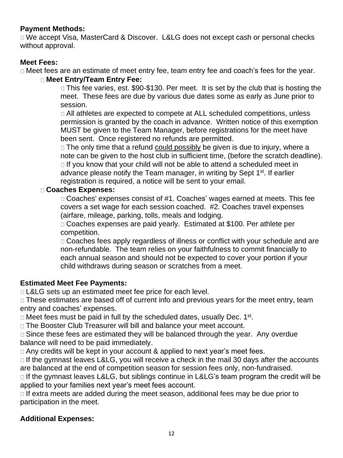#### **Payment Methods:**

□ We accept Visa, MasterCard & Discover. L&LG does not except cash or personal checks without approval.

#### **Meet Fees:**

Meet fees are an estimate of meet entry fee, team entry fee and coach's fees for the year.

#### **Meet Entry/Team Entry Fee:**

□ This fee varies, est. \$90-\$130. Per meet. It is set by the club that is hosting the meet. These fees are due by various due dates some as early as June prior to session.

All athletes are expected to compete at ALL scheduled competitions, unless permission is granted by the coach in advance. Written notice of this exemption MUST be given to the Team Manager, before registrations for the meet have been sent. Once registered no refunds are permitted.

 $\Box$  The only time that a refund could possibly be given is due to injury, where a note can be given to the host club in sufficient time, (before the scratch deadline).  $\Box$  If you know that your child will not be able to attend a scheduled meet in advance please notify the Team manager, in writing by Sept 1<sup>st</sup>. If earlier registration is required, a notice will be sent to your email.

#### **Coaches Expenses:**

 $\Box$  Coaches' expenses consist of #1. Coaches' wages earned at meets. This fee covers a set wage for each session coached. #2. Coaches travel expenses (airfare, mileage, parking, tolls, meals and lodging.

Coaches expenses are paid yearly. Estimated at \$100. Per athlete per competition.

□ Coaches fees apply regardless of illness or conflict with your schedule and are non-refundable. The team relies on your faithfulness to commit financially to each annual season and should not be expected to cover your portion if your child withdraws during season or scratches from a meet.

### **Estimated Meet Fee Payments:**

D L&LG sets up an estimated meet fee price for each level.

□ These estimates are based off of current info and previous years for the meet entry, team entry and coaches' expenses.

Meet fees must be paid in full by the scheduled dates, usually Dec. 1<sup>st</sup>.

□ The Booster Club Treasurer will bill and balance your meet account.

□ Since these fees are estimated they will be balanced through the year. Any overdue balance will need to be paid immediately.

□ Any credits will be kept in your account & applied to next year's meet fees.

 $\Box$  If the gymnast leaves L&LG, you will receive a check in the mail 30 days after the accounts are balanced at the end of competition season for session fees only, non-fundraised.

 $\Box$  If the gymnast leaves L&LG, but siblings continue in L&LG's team program the credit will be applied to your families next year's meet fees account.

 $\Box$  If extra meets are added during the meet season, additional fees may be due prior to participation in the meet.

### **Additional Expenses:**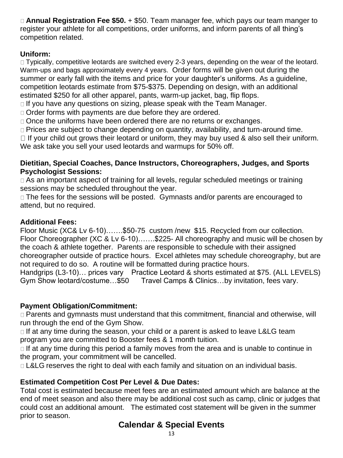**Annual Registration Fee \$50.** + \$50. Team manager fee, which pays our team manger to register your athlete for all competitions, order uniforms, and inform parents of all thing's competition related.

# **Uniform:**

□ Typically, competitive leotards are switched every 2-3 years, depending on the wear of the leotard. Warm-ups and bags approximately every 4 years. Order forms will be given out during the summer or early fall with the items and price for your daughter's uniforms. As a guideline, competition leotards estimate from \$75-\$375. Depending on design, with an additional estimated \$250 for all other apparel, pants, warm-up jacket, bag, flip flops.

 $\Box$  If you have any questions on sizing, please speak with the Team Manager.

Order forms with payments are due before they are ordered.

□ Once the uniforms have been ordered there are no returns or exchanges.

□ Prices are subject to change depending on quantity, availability, and turn-around time.

 $\Box$  If your child out grows their leotard or uniform, they may buy used & also sell their uniform. We ask take you sell your used leotards and warmups for 50% off.

#### **Dietitian, Special Coaches, Dance Instructors, Choreographers, Judges, and Sports Psychologist Sessions:**

As an important aspect of training for all levels, regular scheduled meetings or training sessions may be scheduled throughout the year.

□ The fees for the sessions will be posted. Gymnasts and/or parents are encouraged to attend, but no required.

### **Additional Fees:**

Floor Music (XC& Lv 6-10)…….\$50-75 custom /new \$15. Recycled from our collection. Floor Choreographer (XC & Lv 6-10)…….\$225- All choreography and music will be chosen by the coach & athlete together. Parents are responsible to schedule with their assigned choreographer outside of practice hours. Excel athletes may schedule choreography, but are not required to do so. A routine will be formatted during practice hours.

Handgrips (L3-10)… prices vary Practice Leotard & shorts estimated at \$75. (ALL LEVELS) Gym Show leotard/costume…\$50 Travel Camps & Clinics…by invitation, fees vary.

### **Payment Obligation/Commitment:**

Parents and gymnasts must understand that this commitment, financial and otherwise, will run through the end of the Gym Show.

 $\Box$  If at any time during the season, your child or a parent is asked to leave L&LG team program you are committed to Booster fees & 1 month tuition.

 $\Box$  If at any time during this period a family moves from the area and is unable to continue in the program, your commitment will be cancelled.

□ L&LG reserves the right to deal with each family and situation on an individual basis.

### **Estimated Competition Cost Per Level & Due Dates:**

Total cost is estimated because meet fees are an estimated amount which are balance at the end of meet season and also there may be additional cost such as camp, clinic or judges that could cost an additional amount. The estimated cost statement will be given in the summer prior to season.

# **Calendar & Special Events**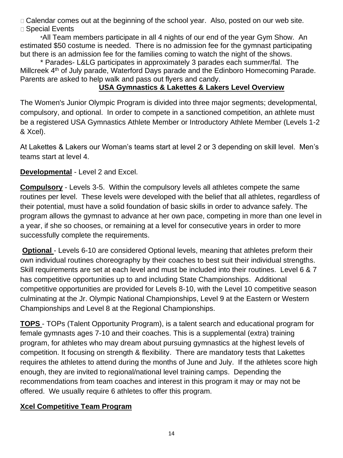□ Calendar comes out at the beginning of the school year. Also, posted on our web site. □ Special Events

\*All Team members participate in all 4 nights of our end of the year Gym Show. An estimated \$50 costume is needed. There is no admission fee for the gymnast participating but there is an admission fee for the families coming to watch the night of the shows.

\* Parades- L&LG participates in approximately 3 parades each summer/fal. The Millcreek 4<sup>th</sup> of July parade, Waterford Days parade and the Edinboro Homecoming Parade. Parents are asked to help walk and pass out flyers and candy.

# **USA Gymnastics & Lakettes & Lakers Level Overview**

The Women's Junior Olympic Program is divided into three major segments; developmental, compulsory, and optional. In order to compete in a sanctioned competition, an athlete must be a registered USA Gymnastics Athlete Member or Introductory Athlete Member (Levels 1-2 & Xcel).

At Lakettes & Lakers our Woman's teams start at level 2 or 3 depending on skill level. Men's teams start at level 4.

**Developmental** - Level 2 and Excel.

**Compulsory** - Levels 3-5. Within the compulsory levels all athletes compete the same routines per level. These levels were developed with the belief that all athletes, regardless of their potential, must have a solid foundation of basic skills in order to advance safely. The program allows the gymnast to advance at her own pace, competing in more than one level in a year, if she so chooses, or remaining at a level for consecutive years in order to more successfully complete the requirements.

**Optional** - Levels 6-10 are considered Optional levels, meaning that athletes preform their own individual routines choreography by their coaches to best suit their individual strengths. Skill requirements are set at each level and must be included into their routines. Level 6 & 7 has competitive opportunities up to and including State Championships. Additional competitive opportunities are provided for Levels 8-10, with the Level 10 competitive season culminating at the Jr. Olympic National Championships, Level 9 at the Eastern or Western Championships and Level 8 at the Regional Championships.

**TOPS** - TOPs (Talent Opportunity Program), is a talent search and educational program for female gymnasts ages 7-10 and their coaches. This is a supplemental (extra) training program, for athletes who may dream about pursuing gymnastics at the highest levels of competition. It focusing on strength & flexibility. There are mandatory tests that Lakettes requires the athletes to attend during the months of June and July. If the athletes score high enough, they are invited to regional/national level training camps. Depending the recommendations from team coaches and interest in this program it may or may not be offered. We usually require 6 athletes to offer this program.

### **Xcel Competitive Team Program**